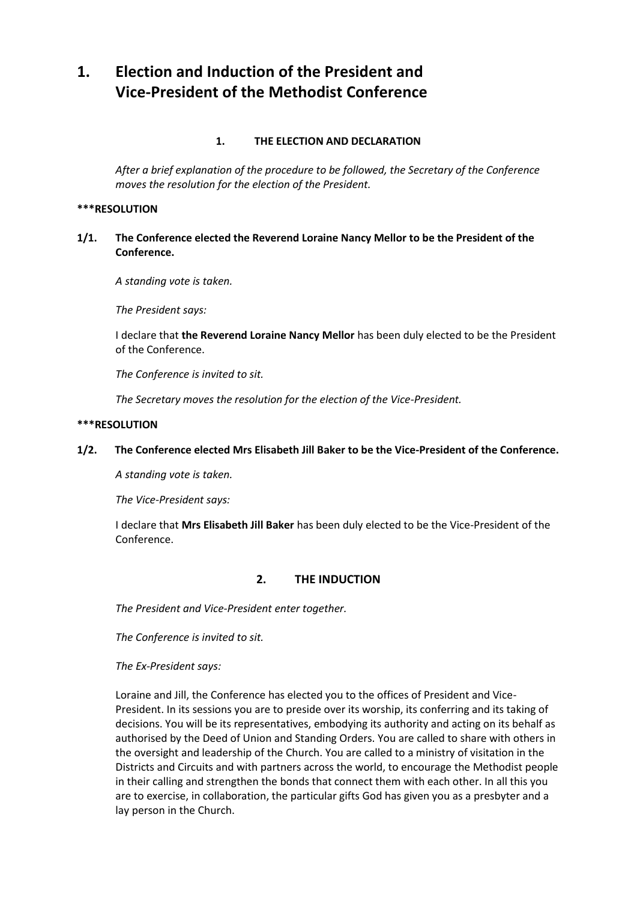# **1. Election and Induction of the President and Vice-President of the Methodist Conference**

# **1. THE ELECTION AND DECLARATION**

*After a brief explanation of the procedure to be followed, the Secretary of the Conference moves the resolution for the election of the President.*

#### **\*\*\*RESOLUTION**

**1/1. The Conference elected the Reverend Loraine Nancy Mellor to be the President of the Conference.**

*A standing vote is taken.*

*The President says:* 

I declare that **the Reverend Loraine Nancy Mellor** has been duly elected to be the President of the Conference.

*The Conference is invited to sit.* 

*The Secretary moves the resolution for the election of the Vice-President.*

#### **\*\*\*RESOLUTION**

## **1/2. The Conference elected Mrs Elisabeth Jill Baker to be the Vice-President of the Conference.**

*A standing vote is taken.*

*The Vice-President says:*

I declare that **Mrs Elisabeth Jill Baker** has been duly elected to be the Vice-President of the Conference.

# **2. THE INDUCTION**

*The President and Vice-President enter together.* 

*The Conference is invited to sit.* 

*The Ex-President says:*

Loraine and Jill, the Conference has elected you to the offices of President and Vice-President. In its sessions you are to preside over its worship, its conferring and its taking of decisions. You will be its representatives, embodying its authority and acting on its behalf as authorised by the Deed of Union and Standing Orders. You are called to share with others in the oversight and leadership of the Church. You are called to a ministry of visitation in the Districts and Circuits and with partners across the world, to encourage the Methodist people in their calling and strengthen the bonds that connect them with each other. In all this you are to exercise, in collaboration, the particular gifts God has given you as a presbyter and a lay person in the Church.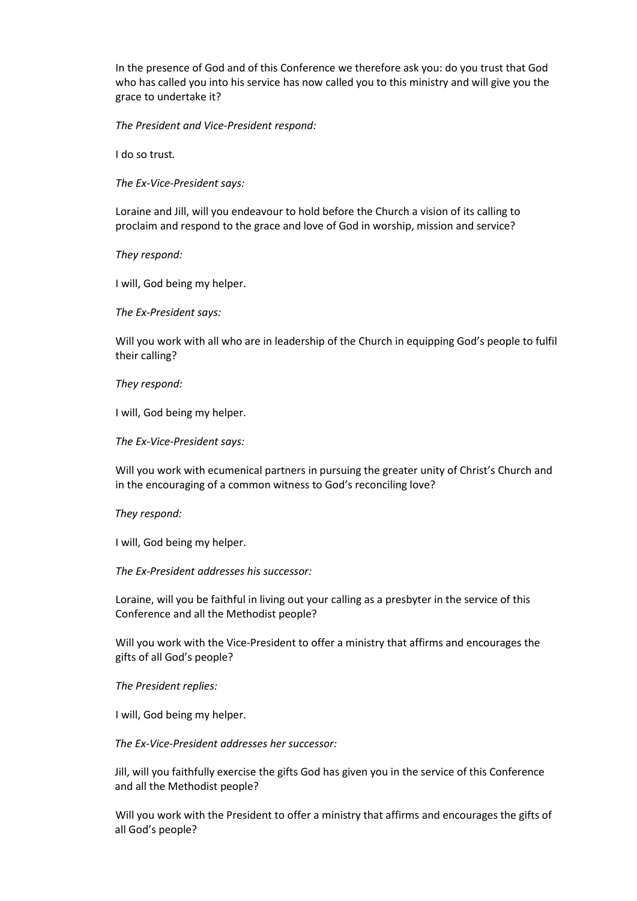In the presence of God and of this Conference we therefore ask you: do you trust that God who has called you into his service has now called you to this ministry and will give you the grace to undertake it?

*The President and Vice-President respond:*

I do so trust*.*

*The Ex-Vice-President says:*

Loraine and Jill, will you endeavour to hold before the Church a vision of its calling to proclaim and respond to the grace and love of God in worship, mission and service?

*They respond:*

I will, God being my helper.

*The Ex-President says:*

Will you work with all who are in leadership of the Church in equipping God's people to fulfil their calling?

*They respond:*

I will, God being my helper.

*The Ex-Vice-President says:*

Will you work with ecumenical partners in pursuing the greater unity of Christ's Church and in the encouraging of a common witness to God's reconciling love?

*They respond:*

I will, God being my helper.

*The Ex-President addresses his successor:*

Loraine, will you be faithful in living out your calling as a presbyter in the service of this Conference and all the Methodist people?

Will you work with the Vice-President to offer a ministry that affirms and encourages the gifts of all God's people?

*The President replies:*

I will, God being my helper.

*The Ex-Vice-President addresses her successor:*

Jill, will you faithfully exercise the gifts God has given you in the service of this Conference and all the Methodist people?

Will you work with the President to offer a ministry that affirms and encourages the gifts of all God's people?